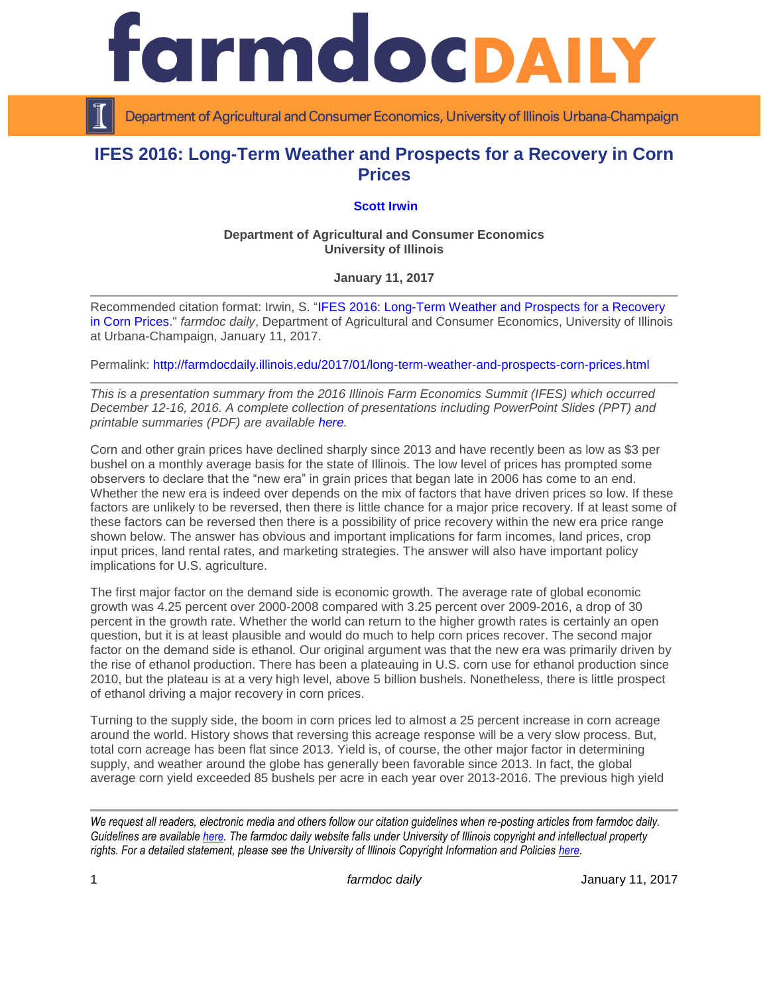rmdocpall

Department of Agricultural and Consumer Economics, University of Illinois Urbana-Champaign

# **IFES 2016: Long-Term Weather and Prospects for a Recovery in Corn Prices**

# **[Scott Irwin](http://farmdoc.illinois.edu/irwin)**

### **Department of Agricultural and Consumer Economics University of Illinois**

## **January 11, 2017**

Recommended citation format: Irwin, S. "IFES 2016: Long-Term [Weather and Prospects for a Recovery](http://farmdocdaily.illinois.edu/2017/01/long-term-weather-and-prospects-corn-prices.html)  [in Corn Prices.](http://farmdocdaily.illinois.edu/2017/01/long-term-weather-and-prospects-corn-prices.html)" *farmdoc daily*, Department of Agricultural and Consumer Economics, University of Illinois at Urbana-Champaign, January 11, 2017.

Permalink: <http://farmdocdaily.illinois.edu/2017/01/long-term-weather-and-prospects-corn-prices.html>

*This is a presentation summary from the 2016 Illinois Farm Economics Summit (IFES) which occurred December 12-16, 2016. A complete collection of presentations including PowerPoint Slides (PPT) and printable summaries (PDF) are available [here.](http://farmdoc.illinois.edu/presentations/IFES_2016/)*

Corn and other grain prices have declined sharply since 2013 and have recently been as low as \$3 per bushel on a monthly average basis for the state of Illinois. The low level of prices has prompted some observers to declare that the "new era" in grain prices that began late in 2006 has come to an end. Whether the new era is indeed over depends on the mix of factors that have driven prices so low. If these factors are unlikely to be reversed, then there is little chance for a major price recovery. If at least some of these factors can be reversed then there is a possibility of price recovery within the new era price range shown below. The answer has obvious and important implications for farm incomes, land prices, crop input prices, land rental rates, and marketing strategies. The answer will also have important policy implications for U.S. agriculture.

The first major factor on the demand side is economic growth. The average rate of global economic growth was 4.25 percent over 2000-2008 compared with 3.25 percent over 2009-2016, a drop of 30 percent in the growth rate. Whether the world can return to the higher growth rates is certainly an open question, but it is at least plausible and would do much to help corn prices recover. The second major factor on the demand side is ethanol. Our original argument was that the new era was primarily driven by the rise of ethanol production. There has been a plateauing in U.S. corn use for ethanol production since 2010, but the plateau is at a very high level, above 5 billion bushels. Nonetheless, there is little prospect of ethanol driving a major recovery in corn prices.

Turning to the supply side, the boom in corn prices led to almost a 25 percent increase in corn acreage around the world. History shows that reversing this acreage response will be a very slow process. But, total corn acreage has been flat since 2013. Yield is, of course, the other major factor in determining supply, and weather around the globe has generally been favorable since 2013. In fact, the global average corn yield exceeded 85 bushels per acre in each year over 2013-2016. The previous high yield

*We request all readers, electronic media and others follow our citation guidelines when re-posting articles from farmdoc daily. Guidelines are available [here.](http://farmdocdaily.illinois.edu/citationguide.html) The farmdoc daily website falls under University of Illinois copyright and intellectual property rights. For a detailed statement, please see the University of Illinois Copyright Information and Policies [here.](http://www.cio.illinois.edu/policies/copyright/)*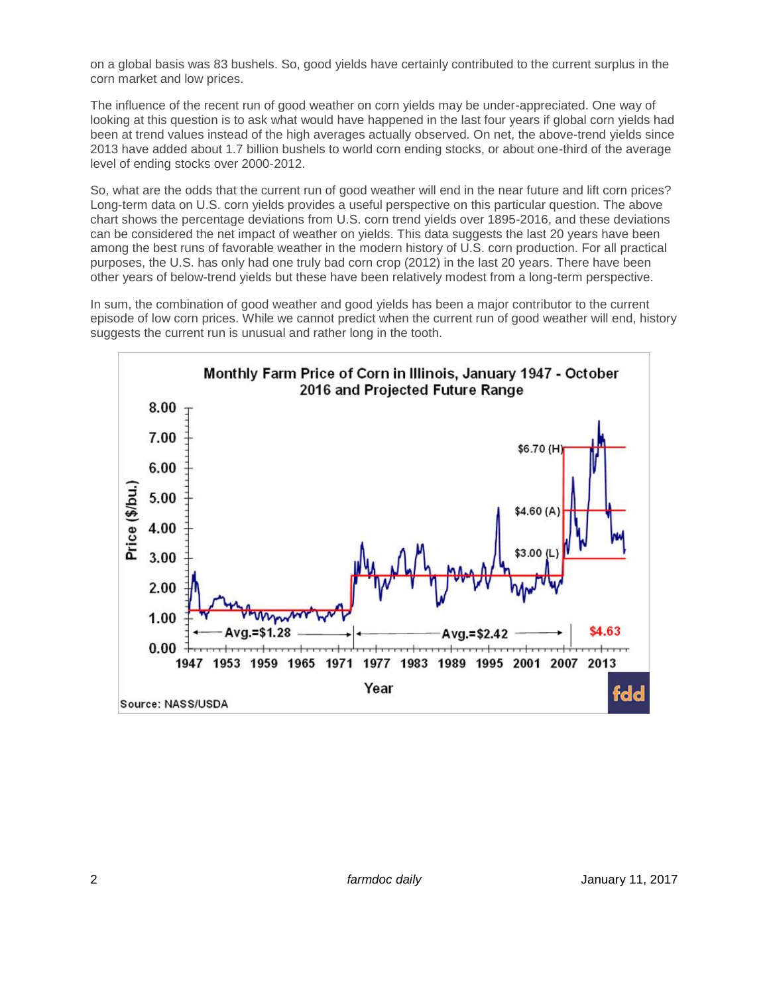on a global basis was 83 bushels. So, good yields have certainly contributed to the current surplus in the corn market and low prices.

The influence of the recent run of good weather on corn yields may be under-appreciated. One way of looking at this question is to ask what would have happened in the last four years if global corn yields had been at trend values instead of the high averages actually observed. On net, the above-trend yields since 2013 have added about 1.7 billion bushels to world corn ending stocks, or about one-third of the average level of ending stocks over 2000-2012.

So, what are the odds that the current run of good weather will end in the near future and lift corn prices? Long-term data on U.S. corn yields provides a useful perspective on this particular question. The above chart shows the percentage deviations from U.S. corn trend yields over 1895-2016, and these deviations can be considered the net impact of weather on yields. This data suggests the last 20 years have been among the best runs of favorable weather in the modern history of U.S. corn production. For all practical purposes, the U.S. has only had one truly bad corn crop (2012) in the last 20 years. There have been other years of below-trend yields but these have been relatively modest from a long-term perspective.

In sum, the combination of good weather and good yields has been a major contributor to the current episode of low corn prices. While we cannot predict when the current run of good weather will end, history suggests the current run is unusual and rather long in the tooth.